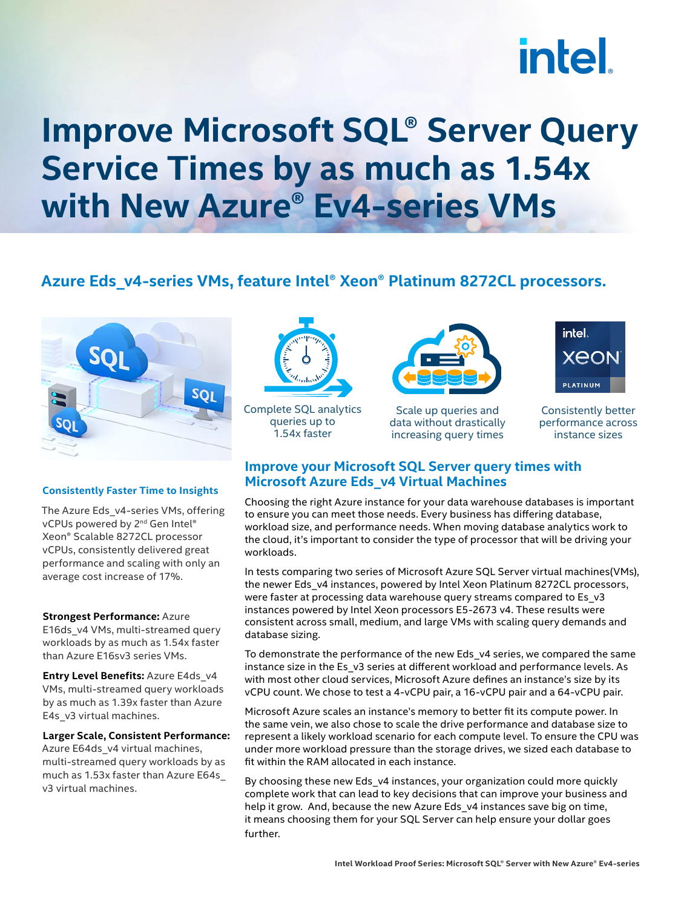# **intel**

### **Improve Microsoft SQL® Server Query Service Times by as much as 1.54x with New Azure® Ev4-series VMs**

#### **Azure Eds\_v4-series VMs, feature Intel® Xeon® Platinum 8272CL processors.**



#### **Consistently Faster Time to Insights**

The Azure Eds\_v4-series VMs, offering vCPUs powered by 2<sup>nd</sup> Gen Intel® Xeon® Scalable 8272CL processor vCPUs, consistently delivered great performance and scaling with only an average cost increase of 17%.

#### **Strongest Performance:** Azure

E16ds\_v4 VMs, multi-streamed query workloads by as much as 1.54x faster than Azure E16sv3 series VMs.

**Entry Level Benefits:** Azure E4ds\_v4 VMs, multi-streamed query workloads by as much as 1.39x faster than Azure E4s\_v3 virtual machines.

**Larger Scale, Consistent Performance:** Azure E64ds\_v4 virtual machines, multi-streamed query workloads by as much as 1.53x faster than Azure E64s\_ v3 virtual machines.



Complete SQL analytics queries up to 1.54x faster



Scale up queries and data without drastically increasing query times



Consistently better performance across instance sizes

#### **Improve your Microsoft SQL Server query times with Microsoft Azure Eds\_v4 Virtual Machines**

Choosing the right Azure instance for your data warehouse databases is important to ensure you can meet those needs. Every business has differing database, workload size, and performance needs. When moving database analytics work to the cloud, it's important to consider the type of processor that will be driving your workloads.

In tests comparing two series of Microsoft Azure SQL Server virtual machines(VMs), the newer Eds\_v4 instances, powered by Intel Xeon Platinum 8272CL processors, were faster at processing data warehouse query streams compared to Es\_v3 instances powered by Intel Xeon processors E5-2673 v4. These results were consistent across small, medium, and large VMs with scaling query demands and database sizing.

To demonstrate the performance of the new Eds\_v4 series, we compared the same instance size in the Es\_v3 series at different workload and performance levels. As with most other cloud services, Microsoft Azure defines an instance's size by its vCPU count. We chose to test a 4-vCPU pair, a 16-vCPU pair and a 64-vCPU pair.

Microsoft Azure scales an instance's memory to better fit its compute power. In the same vein, we also chose to scale the drive performance and database size to represent a likely workload scenario for each compute level. To ensure the CPU was under more workload pressure than the storage drives, we sized each database to fit within the RAM allocated in each instance.

By choosing these new Eds\_v4 instances, your organization could more quickly complete work that can lead to key decisions that can improve your business and help it grow. And, because the new Azure Eds\_v4 instances save big on time, it means choosing them for your SQL Server can help ensure your dollar goes further.